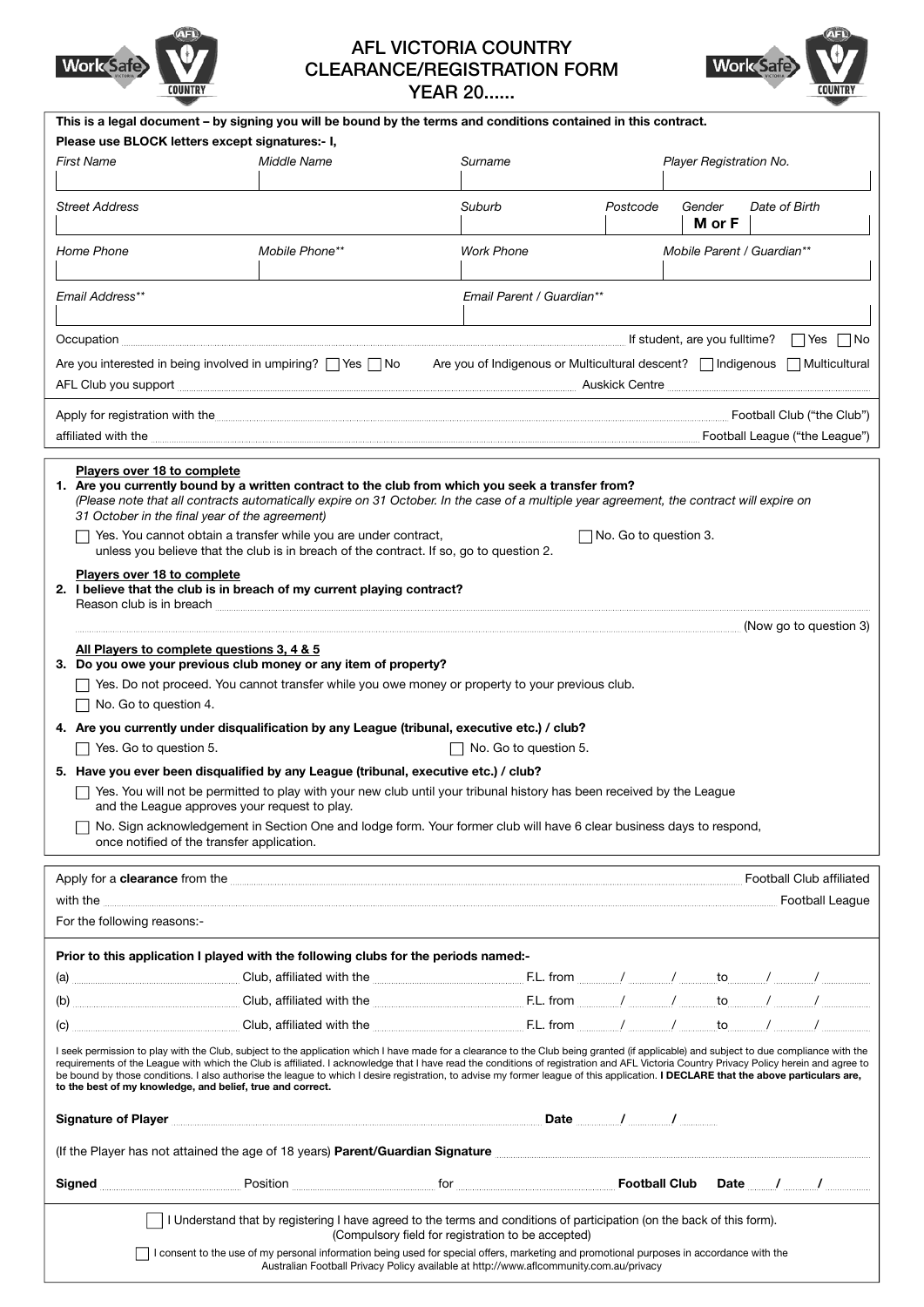

# **AFL VICTORIA COUNTRY CLEARANCE/REGISTRATION FORM YEAR 20......**



|                                                                                                                                                                                                                                                                                                                                                                                | This is a legal document - by signing you will be bound by the terms and conditions contained in this contract.                                                          |                           |                                                                                                                                                                                                                                      |
|--------------------------------------------------------------------------------------------------------------------------------------------------------------------------------------------------------------------------------------------------------------------------------------------------------------------------------------------------------------------------------|--------------------------------------------------------------------------------------------------------------------------------------------------------------------------|---------------------------|--------------------------------------------------------------------------------------------------------------------------------------------------------------------------------------------------------------------------------------|
| Please use BLOCK letters except signatures:- I,                                                                                                                                                                                                                                                                                                                                |                                                                                                                                                                          |                           |                                                                                                                                                                                                                                      |
| <b>First Name</b>                                                                                                                                                                                                                                                                                                                                                              | Middle Name                                                                                                                                                              | Surname                   | Player Registration No.                                                                                                                                                                                                              |
|                                                                                                                                                                                                                                                                                                                                                                                |                                                                                                                                                                          |                           |                                                                                                                                                                                                                                      |
| <b>Street Address</b>                                                                                                                                                                                                                                                                                                                                                          |                                                                                                                                                                          | Suburb                    | Date of Birth<br>Postcode<br>Gender<br>M or F                                                                                                                                                                                        |
|                                                                                                                                                                                                                                                                                                                                                                                |                                                                                                                                                                          |                           |                                                                                                                                                                                                                                      |
| Home Phone                                                                                                                                                                                                                                                                                                                                                                     | Mobile Phone**                                                                                                                                                           | <b>Work Phone</b>         | Mobile Parent / Guardian**                                                                                                                                                                                                           |
|                                                                                                                                                                                                                                                                                                                                                                                |                                                                                                                                                                          |                           |                                                                                                                                                                                                                                      |
| <b>Email Address**</b>                                                                                                                                                                                                                                                                                                                                                         |                                                                                                                                                                          | Email Parent / Guardian** |                                                                                                                                                                                                                                      |
|                                                                                                                                                                                                                                                                                                                                                                                |                                                                                                                                                                          |                           |                                                                                                                                                                                                                                      |
| $Occulation$ $\Box$ Yes $\Box$ No                                                                                                                                                                                                                                                                                                                                              |                                                                                                                                                                          |                           |                                                                                                                                                                                                                                      |
| Are you interested in being involved in umpiring?    Yes    No Are you of Indigenous or Multicultural descent?    Indigenous    Multicultural                                                                                                                                                                                                                                  |                                                                                                                                                                          |                           |                                                                                                                                                                                                                                      |
| AFL Club you support <b>with the contract of the contract of the contract of the contract of the contract of the contract of the contract of the contract of the contract of the contract of the contract of the contract of the</b>                                                                                                                                           |                                                                                                                                                                          |                           |                                                                                                                                                                                                                                      |
| Apply for registration with the <b>contract of the contract of the contract of the Club</b> ") Football Club ("the Club")                                                                                                                                                                                                                                                      |                                                                                                                                                                          |                           |                                                                                                                                                                                                                                      |
| affiliated with the <b>contract of the League</b> " Football League ("the League")                                                                                                                                                                                                                                                                                             |                                                                                                                                                                          |                           |                                                                                                                                                                                                                                      |
|                                                                                                                                                                                                                                                                                                                                                                                |                                                                                                                                                                          |                           |                                                                                                                                                                                                                                      |
| Players over 18 to complete                                                                                                                                                                                                                                                                                                                                                    |                                                                                                                                                                          |                           |                                                                                                                                                                                                                                      |
| 1. Are you currently bound by a written contract to the club from which you seek a transfer from?<br>(Please note that all contracts automatically expire on 31 October. In the case of a multiple year agreement, the contract will expire on                                                                                                                                 |                                                                                                                                                                          |                           |                                                                                                                                                                                                                                      |
| 31 October in the final year of the agreement)                                                                                                                                                                                                                                                                                                                                 |                                                                                                                                                                          |                           |                                                                                                                                                                                                                                      |
| Yes. You cannot obtain a transfer while you are under contract,<br>$\Box$ No. Go to question 3.<br>unless you believe that the club is in breach of the contract. If so, go to question 2.                                                                                                                                                                                     |                                                                                                                                                                          |                           |                                                                                                                                                                                                                                      |
| Players over 18 to complete                                                                                                                                                                                                                                                                                                                                                    |                                                                                                                                                                          |                           |                                                                                                                                                                                                                                      |
| 2. I believe that the club is in breach of my current playing contract?                                                                                                                                                                                                                                                                                                        |                                                                                                                                                                          |                           |                                                                                                                                                                                                                                      |
|                                                                                                                                                                                                                                                                                                                                                                                |                                                                                                                                                                          |                           |                                                                                                                                                                                                                                      |
|                                                                                                                                                                                                                                                                                                                                                                                |                                                                                                                                                                          |                           |                                                                                                                                                                                                                                      |
| All Players to complete questions 3, 4 & 5                                                                                                                                                                                                                                                                                                                                     |                                                                                                                                                                          |                           |                                                                                                                                                                                                                                      |
| 3. Do you owe your previous club money or any item of property?                                                                                                                                                                                                                                                                                                                |                                                                                                                                                                          |                           |                                                                                                                                                                                                                                      |
| Yes. Do not proceed. You cannot transfer while you owe money or property to your previous club.                                                                                                                                                                                                                                                                                |                                                                                                                                                                          |                           |                                                                                                                                                                                                                                      |
| No. Go to question 4.                                                                                                                                                                                                                                                                                                                                                          |                                                                                                                                                                          |                           |                                                                                                                                                                                                                                      |
| 4. Are you currently under disqualification by any League (tribunal, executive etc.) / club?<br>Yes. Go to question 5.<br>No. Go to question 5.                                                                                                                                                                                                                                |                                                                                                                                                                          |                           |                                                                                                                                                                                                                                      |
|                                                                                                                                                                                                                                                                                                                                                                                |                                                                                                                                                                          |                           |                                                                                                                                                                                                                                      |
| 5. Have you ever been disqualified by any League (tribunal, executive etc.) / club?<br>Yes. You will not be permitted to play with your new club until your tribunal history has been received by the League                                                                                                                                                                   |                                                                                                                                                                          |                           |                                                                                                                                                                                                                                      |
| and the League approves your request to play.                                                                                                                                                                                                                                                                                                                                  |                                                                                                                                                                          |                           |                                                                                                                                                                                                                                      |
| No. Sign acknowledgement in Section One and lodge form. Your former club will have 6 clear business days to respond,                                                                                                                                                                                                                                                           |                                                                                                                                                                          |                           |                                                                                                                                                                                                                                      |
| once notified of the transfer application.                                                                                                                                                                                                                                                                                                                                     |                                                                                                                                                                          |                           |                                                                                                                                                                                                                                      |
|                                                                                                                                                                                                                                                                                                                                                                                |                                                                                                                                                                          |                           | Apply for a clearance from the <b>contract of the contract of the contract of the contract of the contract of the contract of the contract of the contract of the stretch of the stretch of the contract of the contract of the </b> |
|                                                                                                                                                                                                                                                                                                                                                                                |                                                                                                                                                                          |                           | <b>Football League</b>                                                                                                                                                                                                               |
| For the following reasons:-                                                                                                                                                                                                                                                                                                                                                    |                                                                                                                                                                          |                           |                                                                                                                                                                                                                                      |
|                                                                                                                                                                                                                                                                                                                                                                                |                                                                                                                                                                          |                           |                                                                                                                                                                                                                                      |
|                                                                                                                                                                                                                                                                                                                                                                                | Prior to this application I played with the following clubs for the periods named:-                                                                                      |                           |                                                                                                                                                                                                                                      |
|                                                                                                                                                                                                                                                                                                                                                                                |                                                                                                                                                                          |                           |                                                                                                                                                                                                                                      |
|                                                                                                                                                                                                                                                                                                                                                                                |                                                                                                                                                                          |                           |                                                                                                                                                                                                                                      |
|                                                                                                                                                                                                                                                                                                                                                                                |                                                                                                                                                                          |                           |                                                                                                                                                                                                                                      |
| I seek permission to play with the Club, subject to the application which I have made for a clearance to the Club being granted (if applicable) and subject to due compliance with the                                                                                                                                                                                         |                                                                                                                                                                          |                           |                                                                                                                                                                                                                                      |
| requirements of the League with which the Club is affiliated. I acknowledge that I have read the conditions of registration and AFL Victoria Country Privacy Policy herein and agree to<br>be bound by those conditions. I also authorise the league to which I desire registration, to advise my former league of this application. I DECLARE that the above particulars are, |                                                                                                                                                                          |                           |                                                                                                                                                                                                                                      |
| to the best of my knowledge, and belief, true and correct.                                                                                                                                                                                                                                                                                                                     |                                                                                                                                                                          |                           |                                                                                                                                                                                                                                      |
|                                                                                                                                                                                                                                                                                                                                                                                |                                                                                                                                                                          |                           |                                                                                                                                                                                                                                      |
| (If the Player has not attained the age of 18 years) Parent/Guardian Signature <b>Constitute 1997</b> (15 the Player has not attained the age of 18 years) Parent/Guardian Signature                                                                                                                                                                                           |                                                                                                                                                                          |                           |                                                                                                                                                                                                                                      |
|                                                                                                                                                                                                                                                                                                                                                                                |                                                                                                                                                                          |                           |                                                                                                                                                                                                                                      |
|                                                                                                                                                                                                                                                                                                                                                                                | Signed <b>Example 20</b> Position <b>Properties and Signed</b> Signed <b>Example 20 Position</b> Position <b>Properties and Signed</b> Signed <b>Example 20 Position</b> |                           | Date $\qquad \qquad$ / $\qquad \qquad$ / $\qquad \qquad$                                                                                                                                                                             |
|                                                                                                                                                                                                                                                                                                                                                                                |                                                                                                                                                                          |                           |                                                                                                                                                                                                                                      |
| I Understand that by registering I have agreed to the terms and conditions of participation (on the back of this form).<br>(Compulsory field for registration to be accepted)                                                                                                                                                                                                  |                                                                                                                                                                          |                           |                                                                                                                                                                                                                                      |
| I consent to the use of my personal information being used for special offers, marketing and promotional purposes in accordance with the<br>Australian Football Privacy Policy available at http://www.aflcommunity.com.au/privacy                                                                                                                                             |                                                                                                                                                                          |                           |                                                                                                                                                                                                                                      |